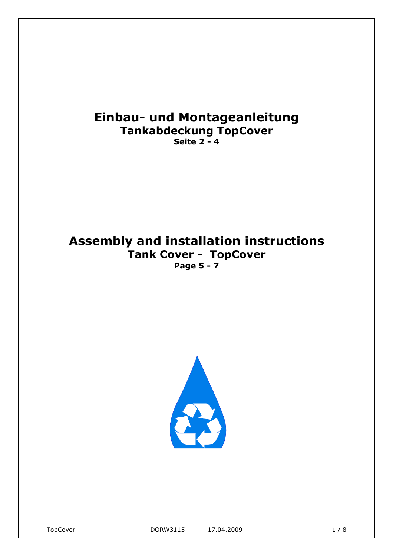# **Einbau- und Montageanleitung Tankabdeckung TopCover Seite 2 - 4**

# **Assembly and installation instructions Tank Cover - TopCover Page 5 - 7**

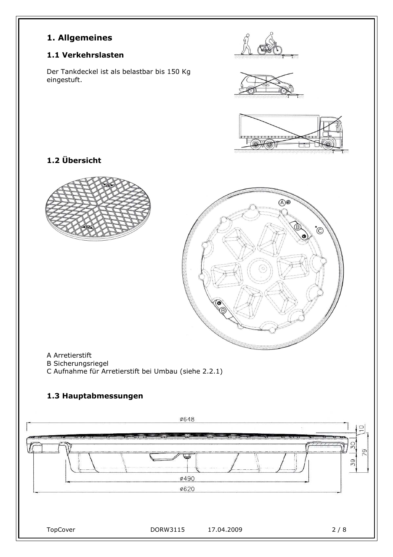## **1. Allgemeines**

## **1.1 Verkehrslasten**

Der Tankdeckel ist als belastbar bis 150 Kg eingestuft.



## **1.2 Übersicht**

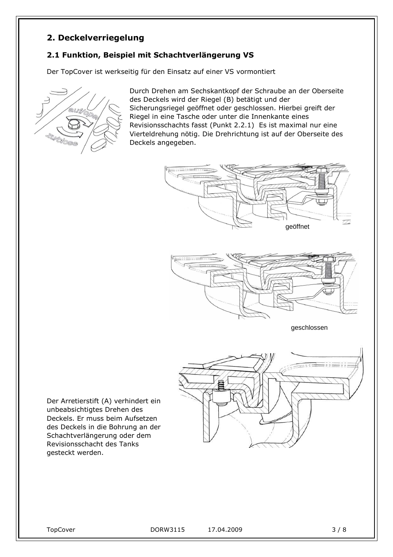## **2. Deckelverriegelung**

## **2.1 Funktion, Beispiel mit Schachtverlängerung VS**

Der TopCover ist werkseitig für den Einsatz auf einer VS vormontiert



Durch Drehen am Sechskantkopf der Schraube an der Oberseite des Deckels wird der Riegel (B) betätigt und der Sicherungsriegel geöffnet oder geschlossen. Hierbei greift der Riegel in eine Tasche oder unter die Innenkante eines Revisionsschachts fasst (Punkt 2.2.1) Es ist maximal nur eine Vierteldrehung nötig. Die Drehrichtung ist auf der Oberseite des Deckels angegeben.





Der Arretierstift (A) verhindert ein unbeabsichtigtes Drehen des Deckels. Er muss beim Aufsetzen des Deckels in die Bohrung an der Schachtverlängerung oder dem Revisionsschacht des Tanks gesteckt werden.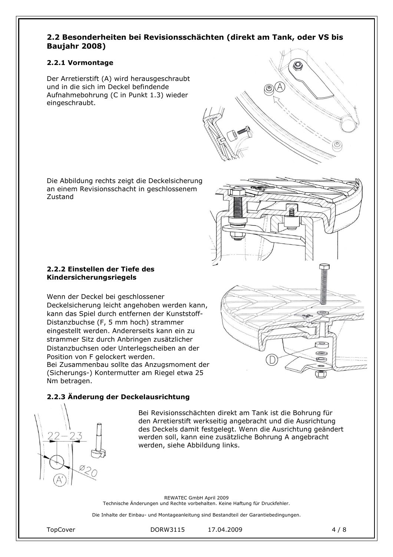#### **2.2 Besonderheiten bei Revisionsschächten (direkt am Tank, oder VS bis Baujahr 2008)**

#### **2.2.1 Vormontage**

Der Arretierstift (A) wird herausgeschraubt und in die sich im Deckel befindende Aufnahmebohrung (C in Punkt 1.3) wieder eingeschraubt.

Die Abbildung rechts zeigt die Deckelsicherung an einem Revisionsschacht in geschlossenem Zustand

#### **2.2.2 Einstellen der Tiefe des Kindersicherungsriegels**

Wenn der Deckel bei geschlossener Deckelsicherung leicht angehoben werden kann, kann das Spiel durch entfernen der Kunststoff-Distanzbuchse (F, 5 mm hoch) strammer eingestellt werden. Andererseits kann ein zu strammer Sitz durch Anbringen zusätzlicher Distanzbuchsen oder Unterlegscheiben an der Position von F gelockert werden. Bei Zusammenbau sollte das Anzugsmoment der (Sicherungs-) Kontermutter am Riegel etwa 25 Nm betragen.

#### **2.2.3 Änderung der Deckelausrichtung**

Bei Revisionsschächten direkt am Tank ist die Bohrung für den Arretierstift werkseitig angebracht und die Ausrichtung des Deckels damit festgelegt. Wenn die Ausrichtung geändert werden soll, kann eine zusätzliche Bohrung A angebracht werden, siehe Abbildung links.

REWATEC GmbH April 2009 Technische Änderungen und Rechte vorbehalten. Keine Haftung für Druckfehler.

Die Inhalte der Einbau- und Montageanleitung sind Bestandteil der Garantiebedingungen.



TopCover DORW3115 17.04.2009 4 / 8

 $\bigcirc$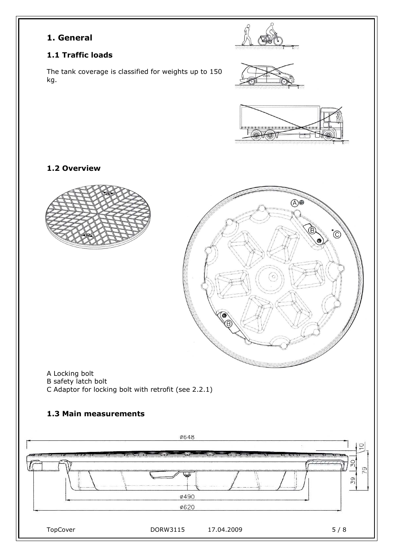## **1. General**

## **1.1 Traffic loads**

**1.2 Overview** 

The tank coverage is classified for weights up to 150 kg.





A Locking bolt B safety latch bolt

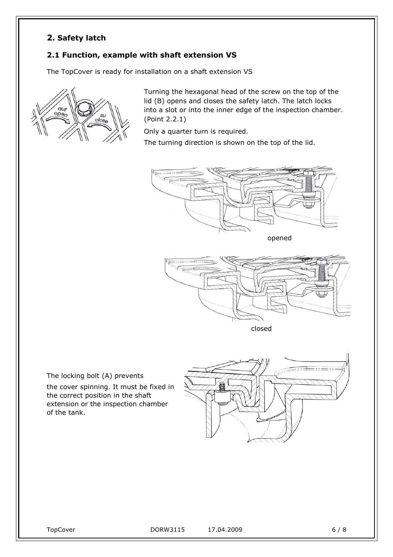## **2. Safety latch**

#### **2.1 Function, example with shaft extension VS**

The TopCover is ready for installation on a shaft extension VS



Turning the hexagonal head of the screw on the top of the lid (B) opens and closes the safety latch. The latch locks into a slot or into the inner edge of the inspection chamber. (Point 2.2.1)

Only a quarter turn is required.

The turning direction is shown on the top of the lid.



opened



closed

The locking bolt (A) prevents

the cover spinning. It must be fixed in the correct position in the shaft extension or the inspection chamber of the tank.

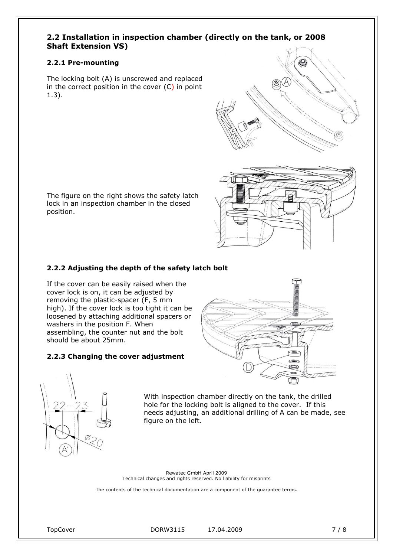#### **2.2 Installation in inspection chamber (directly on the tank, or 2008 Shaft Extension VS)**

#### **2.2.1 Pre-mounting**

The locking bolt (A) is unscrewed and replaced in the correct position in the cover  $(C)$  in point 1.3).

The figure on the right shows the safety latch lock in an inspection chamber in the closed position.

#### **2.2.2 Adjusting the depth of the safety latch bolt**

If the cover can be easily raised when the cover lock is on, it can be adjusted by removing the plastic-spacer (F, 5 mm high). If the cover lock is too tight it can be loosened by attaching additional spacers or washers in the position F. When assembling, the counter nut and the bolt should be about 25mm.

#### **2.2.3 Changing the cover adjustment**





With inspection chamber directly on the tank, the drilled hole for the locking bolt is aligned to the cover. If this needs adjusting, an additional drilling of A can be made, see figure on the left.

Rewatec GmbH April 2009 Technical changes and rights reserved. No liability for misprints

The contents of the technical documentation are a component of the guarantee terms.